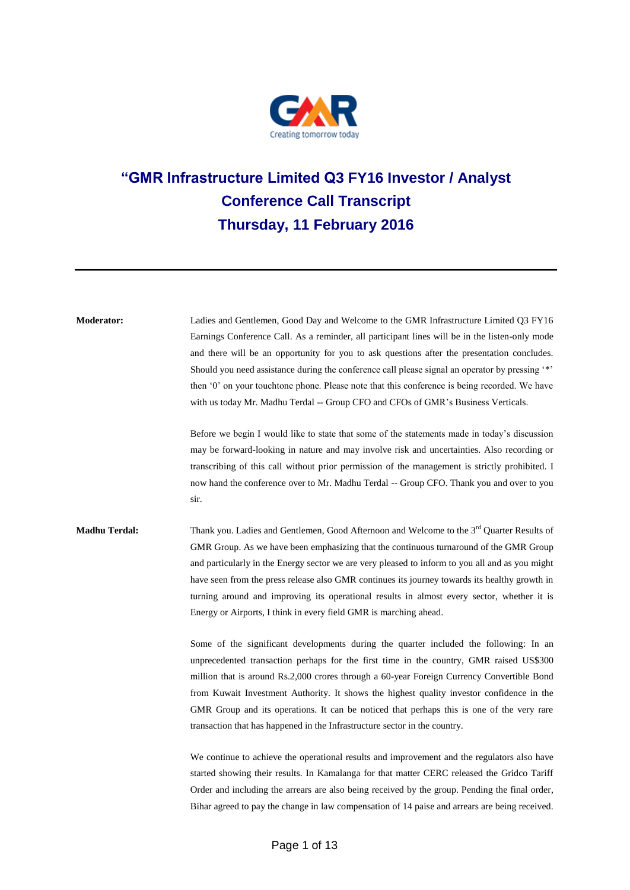

# **"GMR Infrastructure Limited Q3 FY16 Investor / Analyst Conference Call Transcript Thursday, 11 February 2016**

| <b>Moderator:</b>    | Ladies and Gentlemen, Good Day and Welcome to the GMR Infrastructure Limited Q3 FY16<br>Earnings Conference Call. As a reminder, all participant lines will be in the listen-only mode<br>and there will be an opportunity for you to ask questions after the presentation concludes.<br>Should you need assistance during the conference call please signal an operator by pressing "*"<br>then '0' on your touchtone phone. Please note that this conference is being recorded. We have<br>with us today Mr. Madhu Terdal -- Group CFO and CFOs of GMR's Business Verticals. |
|----------------------|--------------------------------------------------------------------------------------------------------------------------------------------------------------------------------------------------------------------------------------------------------------------------------------------------------------------------------------------------------------------------------------------------------------------------------------------------------------------------------------------------------------------------------------------------------------------------------|
|                      | Before we begin I would like to state that some of the statements made in today's discussion<br>may be forward-looking in nature and may involve risk and uncertainties. Also recording or<br>transcribing of this call without prior permission of the management is strictly prohibited. I<br>now hand the conference over to Mr. Madhu Terdal -- Group CFO. Thank you and over to you<br>sir.                                                                                                                                                                               |
| <b>Madhu Terdal:</b> | Thank you. Ladies and Gentlemen, Good Afternoon and Welcome to the 3 <sup>rd</sup> Quarter Results of<br>GMR Group. As we have been emphasizing that the continuous turnaround of the GMR Group<br>and particularly in the Energy sector we are very pleased to inform to you all and as you might<br>have seen from the press release also GMR continues its journey towards its healthy growth in<br>turning around and improving its operational results in almost every sector, whether it is<br>Energy or Airports, I think in every field GMR is marching ahead.         |
|                      | Some of the significant developments during the quarter included the following: In an<br>unprecedented transaction perhaps for the first time in the country, GMR raised US\$300<br>million that is around Rs.2,000 crores through a 60-year Foreign Currency Convertible Bond<br>from Kuwait Investment Authority. It shows the highest quality investor confidence in the<br>GMR Group and its operations. It can be noticed that perhaps this is one of the very rare<br>transaction that has happened in the Infrastructure sector in the country.                         |
|                      | We continue to achieve the operational results and improvement and the regulators also have<br>started showing their results. In Kamalanga for that matter CERC released the Gridco Tariff<br>Order and including the arrears are also being received by the group. Pending the final order,                                                                                                                                                                                                                                                                                   |

Bihar agreed to pay the change in law compensation of 14 paise and arrears are being received.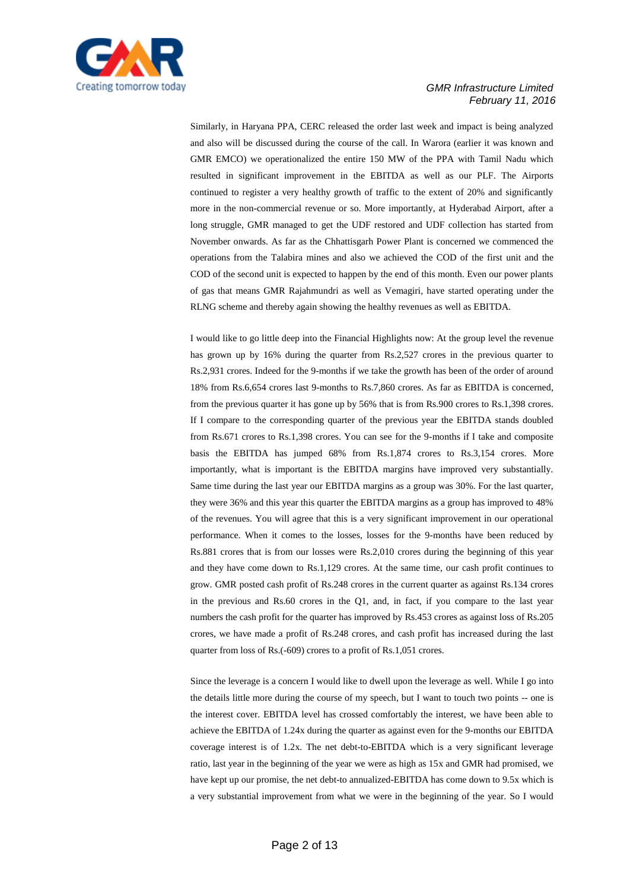

Similarly, in Haryana PPA, CERC released the order last week and impact is being analyzed and also will be discussed during the course of the call. In Warora (earlier it was known and GMR EMCO) we operationalized the entire 150 MW of the PPA with Tamil Nadu which resulted in significant improvement in the EBITDA as well as our PLF. The Airports continued to register a very healthy growth of traffic to the extent of 20% and significantly more in the non-commercial revenue or so. More importantly, at Hyderabad Airport, after a long struggle, GMR managed to get the UDF restored and UDF collection has started from November onwards. As far as the Chhattisgarh Power Plant is concerned we commenced the operations from the Talabira mines and also we achieved the COD of the first unit and the COD of the second unit is expected to happen by the end of this month. Even our power plants of gas that means GMR Rajahmundri as well as Vemagiri, have started operating under the RLNG scheme and thereby again showing the healthy revenues as well as EBITDA.

I would like to go little deep into the Financial Highlights now: At the group level the revenue has grown up by 16% during the quarter from Rs.2,527 crores in the previous quarter to Rs.2,931 crores. Indeed for the 9-months if we take the growth has been of the order of around 18% from Rs.6,654 crores last 9-months to Rs.7,860 crores. As far as EBITDA is concerned, from the previous quarter it has gone up by 56% that is from Rs.900 crores to Rs.1,398 crores. If I compare to the corresponding quarter of the previous year the EBITDA stands doubled from Rs.671 crores to Rs.1,398 crores. You can see for the 9-months if I take and composite basis the EBITDA has jumped 68% from Rs.1,874 crores to Rs.3,154 crores. More importantly, what is important is the EBITDA margins have improved very substantially. Same time during the last year our EBITDA margins as a group was 30%. For the last quarter, they were 36% and this year this quarter the EBITDA margins as a group has improved to 48% of the revenues. You will agree that this is a very significant improvement in our operational performance. When it comes to the losses, losses for the 9-months have been reduced by Rs.881 crores that is from our losses were Rs.2,010 crores during the beginning of this year and they have come down to Rs.1,129 crores. At the same time, our cash profit continues to grow. GMR posted cash profit of Rs.248 crores in the current quarter as against Rs.134 crores in the previous and Rs.60 crores in the Q1, and, in fact, if you compare to the last year numbers the cash profit for the quarter has improved by Rs.453 crores as against loss of Rs.205 crores, we have made a profit of Rs.248 crores, and cash profit has increased during the last quarter from loss of Rs.(-609) crores to a profit of Rs.1,051 crores.

Since the leverage is a concern I would like to dwell upon the leverage as well. While I go into the details little more during the course of my speech, but I want to touch two points -- one is the interest cover. EBITDA level has crossed comfortably the interest, we have been able to achieve the EBITDA of 1.24x during the quarter as against even for the 9-months our EBITDA coverage interest is of 1.2x. The net debt-to-EBITDA which is a very significant leverage ratio, last year in the beginning of the year we were as high as 15x and GMR had promised, we have kept up our promise, the net debt-to annualized-EBITDA has come down to 9.5x which is a very substantial improvement from what we were in the beginning of the year. So I would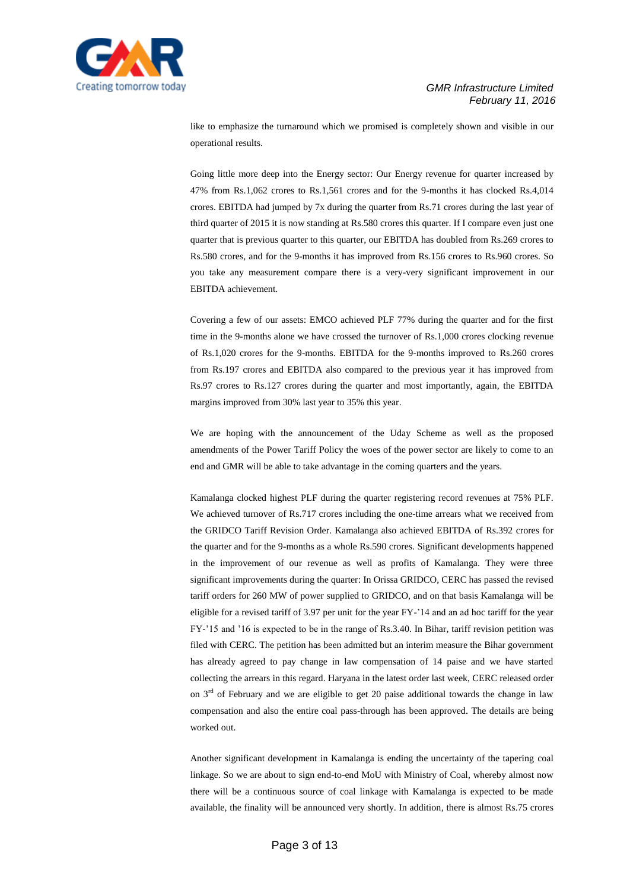

like to emphasize the turnaround which we promised is completely shown and visible in our operational results.

Going little more deep into the Energy sector: Our Energy revenue for quarter increased by 47% from Rs.1,062 crores to Rs.1,561 crores and for the 9-months it has clocked Rs.4,014 crores. EBITDA had jumped by 7x during the quarter from Rs.71 crores during the last year of third quarter of 2015 it is now standing at Rs.580 crores this quarter. If I compare even just one quarter that is previous quarter to this quarter, our EBITDA has doubled from Rs.269 crores to Rs.580 crores, and for the 9-months it has improved from Rs.156 crores to Rs.960 crores. So you take any measurement compare there is a very-very significant improvement in our EBITDA achievement.

Covering a few of our assets: EMCO achieved PLF 77% during the quarter and for the first time in the 9-months alone we have crossed the turnover of Rs.1,000 crores clocking revenue of Rs.1,020 crores for the 9-months. EBITDA for the 9-months improved to Rs.260 crores from Rs.197 crores and EBITDA also compared to the previous year it has improved from Rs.97 crores to Rs.127 crores during the quarter and most importantly, again, the EBITDA margins improved from 30% last year to 35% this year.

We are hoping with the announcement of the Uday Scheme as well as the proposed amendments of the Power Tariff Policy the woes of the power sector are likely to come to an end and GMR will be able to take advantage in the coming quarters and the years.

Kamalanga clocked highest PLF during the quarter registering record revenues at 75% PLF. We achieved turnover of Rs.717 crores including the one-time arrears what we received from the GRIDCO Tariff Revision Order. Kamalanga also achieved EBITDA of Rs.392 crores for the quarter and for the 9-months as a whole Rs.590 crores. Significant developments happened in the improvement of our revenue as well as profits of Kamalanga. They were three significant improvements during the quarter: In Orissa GRIDCO, CERC has passed the revised tariff orders for 260 MW of power supplied to GRIDCO, and on that basis Kamalanga will be eligible for a revised tariff of 3.97 per unit for the year FY-'14 and an ad hoc tariff for the year FY-'15 and '16 is expected to be in the range of Rs.3.40. In Bihar, tariff revision petition was filed with CERC. The petition has been admitted but an interim measure the Bihar government has already agreed to pay change in law compensation of 14 paise and we have started collecting the arrears in this regard. Haryana in the latest order last week, CERC released order on  $3<sup>rd</sup>$  of February and we are eligible to get 20 paise additional towards the change in law compensation and also the entire coal pass-through has been approved. The details are being worked out.

Another significant development in Kamalanga is ending the uncertainty of the tapering coal linkage. So we are about to sign end-to-end MoU with Ministry of Coal, whereby almost now there will be a continuous source of coal linkage with Kamalanga is expected to be made available, the finality will be announced very shortly. In addition, there is almost Rs.75 crores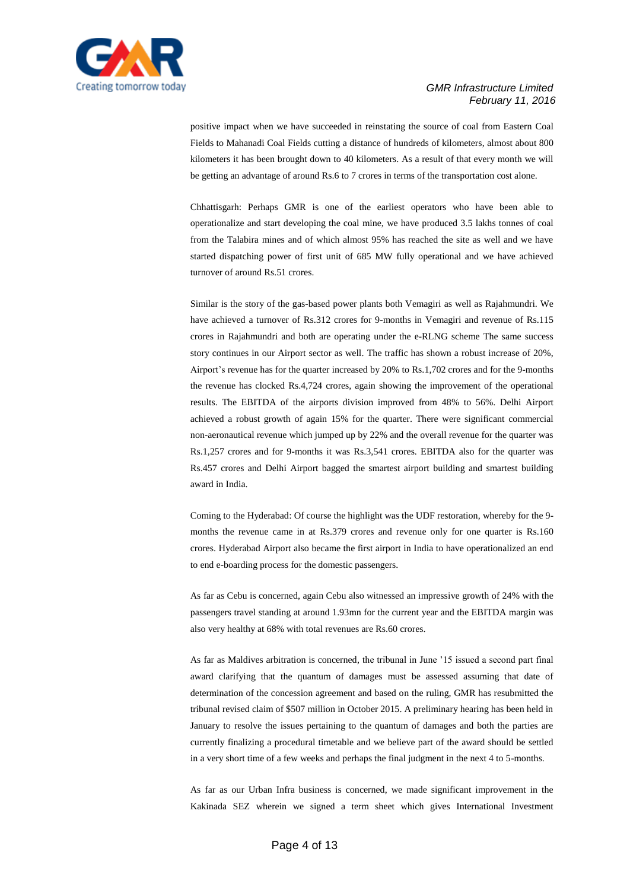

positive impact when we have succeeded in reinstating the source of coal from Eastern Coal Fields to Mahanadi Coal Fields cutting a distance of hundreds of kilometers, almost about 800 kilometers it has been brought down to 40 kilometers. As a result of that every month we will be getting an advantage of around Rs.6 to 7 crores in terms of the transportation cost alone.

Chhattisgarh: Perhaps GMR is one of the earliest operators who have been able to operationalize and start developing the coal mine, we have produced 3.5 lakhs tonnes of coal from the Talabira mines and of which almost 95% has reached the site as well and we have started dispatching power of first unit of 685 MW fully operational and we have achieved turnover of around Rs.51 crores.

Similar is the story of the gas-based power plants both Vemagiri as well as Rajahmundri. We have achieved a turnover of Rs.312 crores for 9-months in Vemagiri and revenue of Rs.115 crores in Rajahmundri and both are operating under the e-RLNG scheme The same success story continues in our Airport sector as well. The traffic has shown a robust increase of 20%, Airport's revenue has for the quarter increased by 20% to Rs.1,702 crores and for the 9-months the revenue has clocked Rs.4,724 crores, again showing the improvement of the operational results. The EBITDA of the airports division improved from 48% to 56%. Delhi Airport achieved a robust growth of again 15% for the quarter. There were significant commercial non-aeronautical revenue which jumped up by 22% and the overall revenue for the quarter was Rs.1,257 crores and for 9-months it was Rs.3,541 crores. EBITDA also for the quarter was Rs.457 crores and Delhi Airport bagged the smartest airport building and smartest building award in India.

Coming to the Hyderabad: Of course the highlight was the UDF restoration, whereby for the 9 months the revenue came in at Rs.379 crores and revenue only for one quarter is Rs.160 crores. Hyderabad Airport also became the first airport in India to have operationalized an end to end e-boarding process for the domestic passengers.

As far as Cebu is concerned, again Cebu also witnessed an impressive growth of 24% with the passengers travel standing at around 1.93mn for the current year and the EBITDA margin was also very healthy at 68% with total revenues are Rs.60 crores.

As far as Maldives arbitration is concerned, the tribunal in June '15 issued a second part final award clarifying that the quantum of damages must be assessed assuming that date of determination of the concession agreement and based on the ruling, GMR has resubmitted the tribunal revised claim of \$507 million in October 2015. A preliminary hearing has been held in January to resolve the issues pertaining to the quantum of damages and both the parties are currently finalizing a procedural timetable and we believe part of the award should be settled in a very short time of a few weeks and perhaps the final judgment in the next 4 to 5-months.

As far as our Urban Infra business is concerned, we made significant improvement in the Kakinada SEZ wherein we signed a term sheet which gives International Investment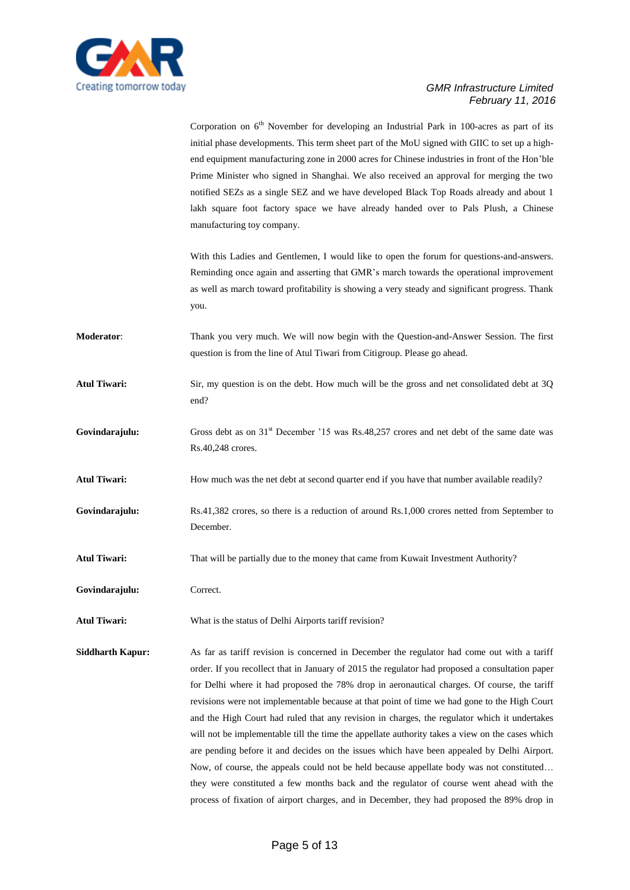

Corporation on  $6<sup>th</sup>$  November for developing an Industrial Park in 100-acres as part of its initial phase developments. This term sheet part of the MoU signed with GIIC to set up a highend equipment manufacturing zone in 2000 acres for Chinese industries in front of the Hon'ble Prime Minister who signed in Shanghai. We also received an approval for merging the two notified SEZs as a single SEZ and we have developed Black Top Roads already and about 1 lakh square foot factory space we have already handed over to Pals Plush, a Chinese manufacturing toy company.

With this Ladies and Gentlemen, I would like to open the forum for questions-and-answers. Reminding once again and asserting that GMR's march towards the operational improvement as well as march toward profitability is showing a very steady and significant progress. Thank you.

**Moderator**: Thank you very much. We will now begin with the Question-and-Answer Session. The first question is from the line of Atul Tiwari from Citigroup. Please go ahead.

Atul Tiwari: Sir, my question is on the debt. How much will be the gross and net consolidated debt at 3Q end?

Govindarajulu: Gross debt as on 31<sup>st</sup> December '15 was Rs.48,257 crores and net debt of the same date was Rs.40,248 crores.

Atul Tiwari: How much was the net debt at second quarter end if you have that number available readily?

Govindarajulu: Rs.41,382 crores, so there is a reduction of around Rs.1,000 crores netted from September to December.

**Atul Tiwari:** That will be partially due to the money that came from Kuwait Investment Authority?

**Govindarajulu:** Correct.

**Atul Tiwari:** What is the status of Delhi Airports tariff revision?

**Siddharth Kapur:** As far as tariff revision is concerned in December the regulator had come out with a tariff order. If you recollect that in January of 2015 the regulator had proposed a consultation paper for Delhi where it had proposed the 78% drop in aeronautical charges. Of course, the tariff revisions were not implementable because at that point of time we had gone to the High Court and the High Court had ruled that any revision in charges, the regulator which it undertakes will not be implementable till the time the appellate authority takes a view on the cases which are pending before it and decides on the issues which have been appealed by Delhi Airport. Now, of course, the appeals could not be held because appellate body was not constituted… they were constituted a few months back and the regulator of course went ahead with the process of fixation of airport charges, and in December, they had proposed the 89% drop in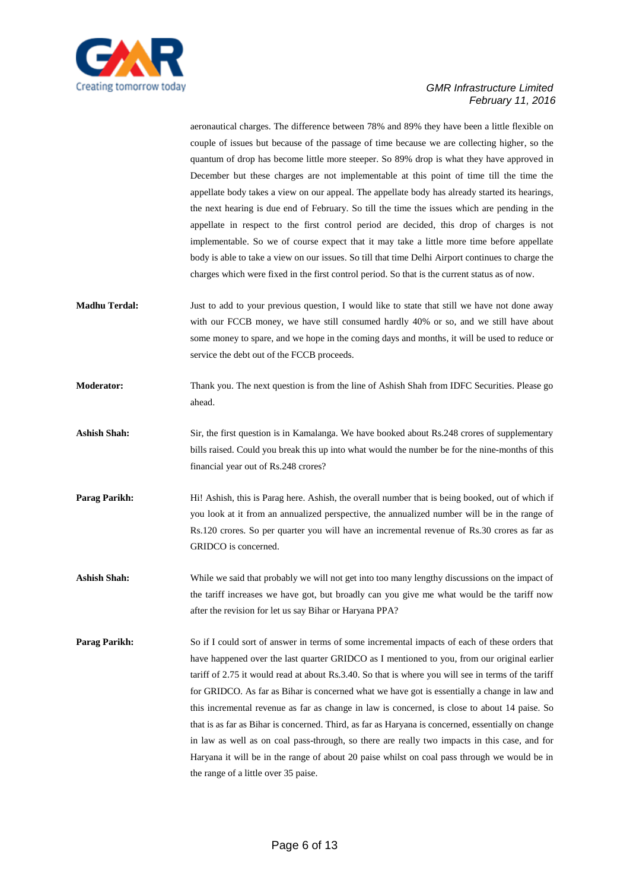

aeronautical charges. The difference between 78% and 89% they have been a little flexible on couple of issues but because of the passage of time because we are collecting higher, so the quantum of drop has become little more steeper. So 89% drop is what they have approved in December but these charges are not implementable at this point of time till the time the appellate body takes a view on our appeal. The appellate body has already started its hearings, the next hearing is due end of February. So till the time the issues which are pending in the appellate in respect to the first control period are decided, this drop of charges is not implementable. So we of course expect that it may take a little more time before appellate body is able to take a view on our issues. So till that time Delhi Airport continues to charge the charges which were fixed in the first control period. So that is the current status as of now.

- **Madhu Terdal:** Just to add to your previous question, I would like to state that still we have not done away with our FCCB money, we have still consumed hardly 40% or so, and we still have about some money to spare, and we hope in the coming days and months, it will be used to reduce or service the debt out of the FCCB proceeds.
- **Moderator:** Thank you. The next question is from the line of Ashish Shah from IDFC Securities. Please go ahead.
- **Ashish Shah:** Sir, the first question is in Kamalanga. We have booked about Rs.248 crores of supplementary bills raised. Could you break this up into what would the number be for the nine-months of this financial year out of Rs.248 crores?
- **Parag Parikh:** Hi! Ashish, this is Parag here. Ashish, the overall number that is being booked, out of which if you look at it from an annualized perspective, the annualized number will be in the range of Rs.120 crores. So per quarter you will have an incremental revenue of Rs.30 crores as far as GRIDCO is concerned.
- **Ashish Shah:** While we said that probably we will not get into too many lengthy discussions on the impact of the tariff increases we have got, but broadly can you give me what would be the tariff now after the revision for let us say Bihar or Haryana PPA?
- **Parag Parikh:** So if I could sort of answer in terms of some incremental impacts of each of these orders that have happened over the last quarter GRIDCO as I mentioned to you, from our original earlier tariff of 2.75 it would read at about Rs.3.40. So that is where you will see in terms of the tariff for GRIDCO. As far as Bihar is concerned what we have got is essentially a change in law and this incremental revenue as far as change in law is concerned, is close to about 14 paise. So that is as far as Bihar is concerned. Third, as far as Haryana is concerned, essentially on change in law as well as on coal pass-through, so there are really two impacts in this case, and for Haryana it will be in the range of about 20 paise whilst on coal pass through we would be in the range of a little over 35 paise.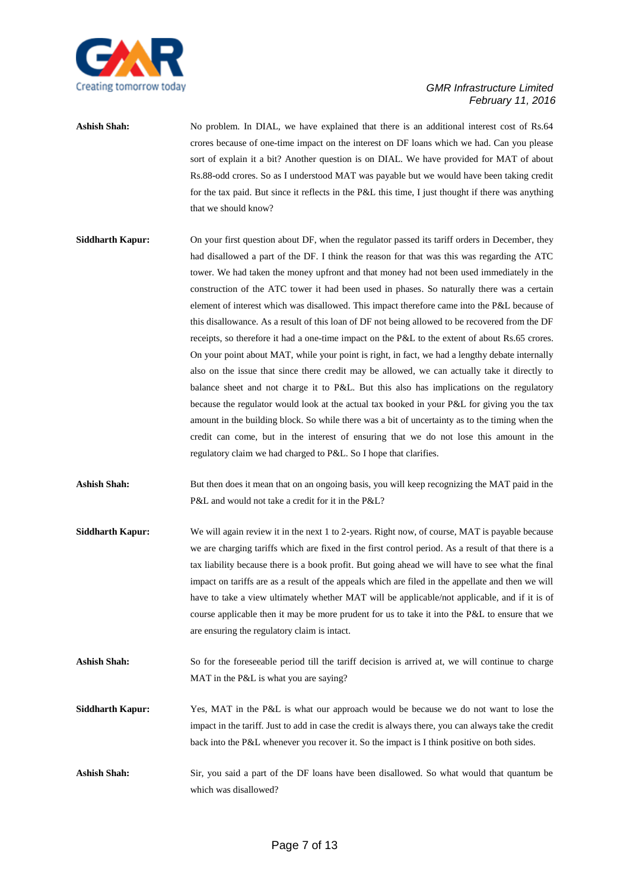

Ashish Shah: No problem. In DIAL, we have explained that there is an additional interest cost of Rs.64 crores because of one-time impact on the interest on DF loans which we had. Can you please sort of explain it a bit? Another question is on DIAL. We have provided for MAT of about Rs.88-odd crores. So as I understood MAT was payable but we would have been taking credit for the tax paid. But since it reflects in the P&L this time, I just thought if there was anything that we should know?

- **Siddharth Kapur:** On your first question about DF, when the regulator passed its tariff orders in December, they had disallowed a part of the DF. I think the reason for that was this was regarding the ATC tower. We had taken the money upfront and that money had not been used immediately in the construction of the ATC tower it had been used in phases. So naturally there was a certain element of interest which was disallowed. This impact therefore came into the P&L because of this disallowance. As a result of this loan of DF not being allowed to be recovered from the DF receipts, so therefore it had a one-time impact on the P&L to the extent of about Rs.65 crores. On your point about MAT, while your point is right, in fact, we had a lengthy debate internally also on the issue that since there credit may be allowed, we can actually take it directly to balance sheet and not charge it to P&L. But this also has implications on the regulatory because the regulator would look at the actual tax booked in your P&L for giving you the tax amount in the building block. So while there was a bit of uncertainty as to the timing when the credit can come, but in the interest of ensuring that we do not lose this amount in the regulatory claim we had charged to P&L. So I hope that clarifies.
- Ashish Shah: But then does it mean that on an ongoing basis, you will keep recognizing the MAT paid in the P&L and would not take a credit for it in the P&L?
- **Siddharth Kapur:** We will again review it in the next 1 to 2-years. Right now, of course, MAT is payable because we are charging tariffs which are fixed in the first control period. As a result of that there is a tax liability because there is a book profit. But going ahead we will have to see what the final impact on tariffs are as a result of the appeals which are filed in the appellate and then we will have to take a view ultimately whether MAT will be applicable/not applicable, and if it is of course applicable then it may be more prudent for us to take it into the P&L to ensure that we are ensuring the regulatory claim is intact.
- Ashish Shah: So for the foreseeable period till the tariff decision is arrived at, we will continue to charge MAT in the P&L is what you are saying?
- **Siddharth Kapur:** Yes, MAT in the P&L is what our approach would be because we do not want to lose the impact in the tariff. Just to add in case the credit is always there, you can always take the credit back into the P&L whenever you recover it. So the impact is I think positive on both sides.
- **Ashish Shah:** Sir, you said a part of the DF loans have been disallowed. So what would that quantum be which was disallowed?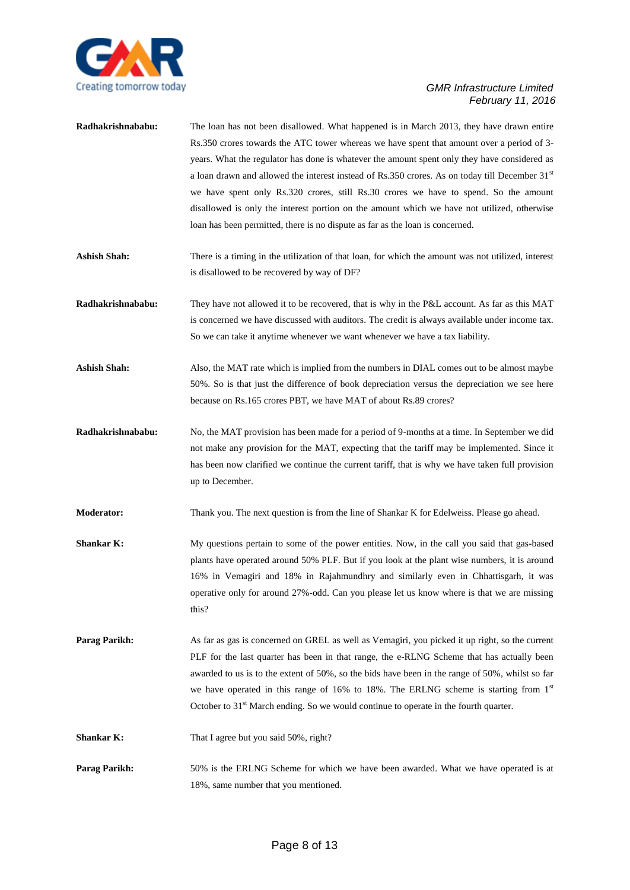

| Radhakrishnababu:    | The loan has not been disallowed. What happened is in March 2013, they have drawn entire<br>Rs.350 crores towards the ATC tower whereas we have spent that amount over a period of 3-<br>years. What the regulator has done is whatever the amount spent only they have considered as<br>a loan drawn and allowed the interest instead of Rs.350 crores. As on today till December $31st$<br>we have spent only Rs.320 crores, still Rs.30 crores we have to spend. So the amount<br>disallowed is only the interest portion on the amount which we have not utilized, otherwise<br>loan has been permitted, there is no dispute as far as the loan is concerned. |
|----------------------|-------------------------------------------------------------------------------------------------------------------------------------------------------------------------------------------------------------------------------------------------------------------------------------------------------------------------------------------------------------------------------------------------------------------------------------------------------------------------------------------------------------------------------------------------------------------------------------------------------------------------------------------------------------------|
| <b>Ashish Shah:</b>  | There is a timing in the utilization of that loan, for which the amount was not utilized, interest<br>is disallowed to be recovered by way of DF?                                                                                                                                                                                                                                                                                                                                                                                                                                                                                                                 |
| Radhakrishnababu:    | They have not allowed it to be recovered, that is why in the P&L account. As far as this MAT<br>is concerned we have discussed with auditors. The credit is always available under income tax.<br>So we can take it anytime whenever we want whenever we have a tax liability.                                                                                                                                                                                                                                                                                                                                                                                    |
| <b>Ashish Shah:</b>  | Also, the MAT rate which is implied from the numbers in DIAL comes out to be almost maybe<br>50%. So is that just the difference of book depreciation versus the depreciation we see here<br>because on Rs.165 crores PBT, we have MAT of about Rs.89 crores?                                                                                                                                                                                                                                                                                                                                                                                                     |
| Radhakrishnababu:    | No, the MAT provision has been made for a period of 9-months at a time. In September we did<br>not make any provision for the MAT, expecting that the tariff may be implemented. Since it<br>has been now clarified we continue the current tariff, that is why we have taken full provision<br>up to December.                                                                                                                                                                                                                                                                                                                                                   |
| <b>Moderator:</b>    | Thank you. The next question is from the line of Shankar K for Edelweiss. Please go ahead.                                                                                                                                                                                                                                                                                                                                                                                                                                                                                                                                                                        |
| <b>Shankar K:</b>    | My questions pertain to some of the power entities. Now, in the call you said that gas-based<br>plants have operated around 50% PLF. But if you look at the plant wise numbers, it is around<br>16% in Vemagiri and 18% in Rajahmundhry and similarly even in Chhattisgarh, it was<br>operative only for around 27%-odd. Can you please let us know where is that we are missing<br>this?                                                                                                                                                                                                                                                                         |
| <b>Parag Parikh:</b> | As far as gas is concerned on GREL as well as Vemagiri, you picked it up right, so the current<br>PLF for the last quarter has been in that range, the e-RLNG Scheme that has actually been<br>awarded to us is to the extent of 50%, so the bids have been in the range of 50%, whilst so far<br>we have operated in this range of 16% to 18%. The ERLNG scheme is starting from 1st<br>October to $31st$ March ending. So we would continue to operate in the fourth quarter.                                                                                                                                                                                   |
| <b>Shankar K:</b>    | That I agree but you said 50%, right?                                                                                                                                                                                                                                                                                                                                                                                                                                                                                                                                                                                                                             |
| Parag Parikh:        | 50% is the ERLNG Scheme for which we have been awarded. What we have operated is at<br>18%, same number that you mentioned.                                                                                                                                                                                                                                                                                                                                                                                                                                                                                                                                       |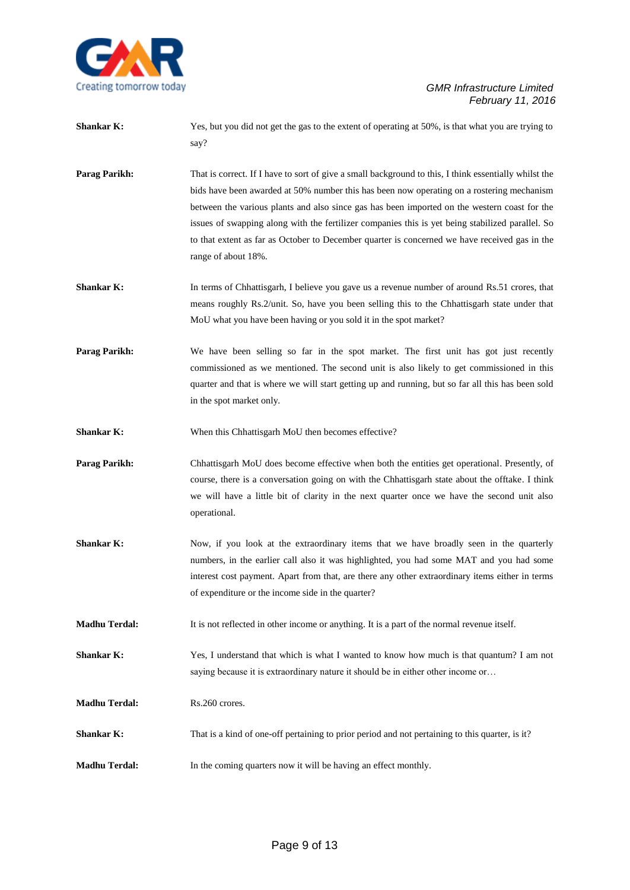

| <b>Shankar K:</b> | Yes, but you did not get the gas to the extent of operating at 50%, is that what you are trying to |
|-------------------|----------------------------------------------------------------------------------------------------|
|                   | sav?                                                                                               |

- **Parag Parikh:** That is correct. If I have to sort of give a small background to this, I think essentially whilst the bids have been awarded at 50% number this has been now operating on a rostering mechanism between the various plants and also since gas has been imported on the western coast for the issues of swapping along with the fertilizer companies this is yet being stabilized parallel. So to that extent as far as October to December quarter is concerned we have received gas in the range of about 18%.
- **Shankar K:** In terms of Chhattisgarh, I believe you gave us a revenue number of around Rs.51 crores, that means roughly Rs.2/unit. So, have you been selling this to the Chhattisgarh state under that MoU what you have been having or you sold it in the spot market?
- Parag Parikh: We have been selling so far in the spot market. The first unit has got just recently commissioned as we mentioned. The second unit is also likely to get commissioned in this quarter and that is where we will start getting up and running, but so far all this has been sold in the spot market only.
- **Shankar K:** When this Chhattisgarh MoU then becomes effective?
- **Parag Parikh:** Chhattisgarh MoU does become effective when both the entities get operational. Presently, of course, there is a conversation going on with the Chhattisgarh state about the offtake. I think we will have a little bit of clarity in the next quarter once we have the second unit also operational.
- **Shankar K:** Now, if you look at the extraordinary items that we have broadly seen in the quarterly numbers, in the earlier call also it was highlighted, you had some MAT and you had some interest cost payment. Apart from that, are there any other extraordinary items either in terms of expenditure or the income side in the quarter?
- **Madhu Terdal:** It is not reflected in other income or anything. It is a part of the normal revenue itself.
- **Shankar K:** Yes, I understand that which is what I wanted to know how much is that quantum? I am not saying because it is extraordinary nature it should be in either other income or…
- **Madhu Terdal:** Rs.260 crores.
- **Shankar K:** That is a kind of one-off pertaining to prior period and not pertaining to this quarter, is it?
- **Madhu Terdal:** In the coming quarters now it will be having an effect monthly.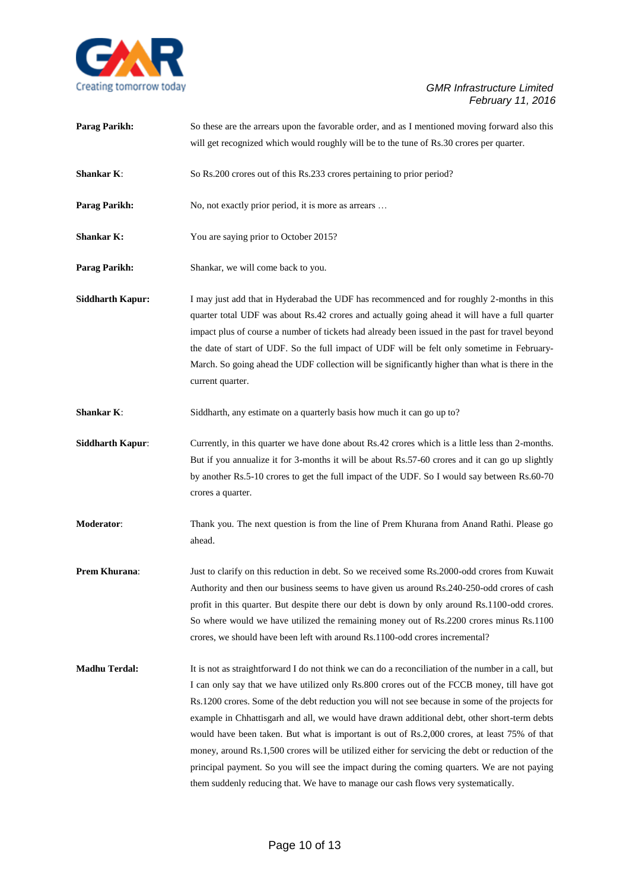

| <b>Parag Parikh:</b>    | So these are the arrears upon the favorable order, and as I mentioned moving forward also this                                                                                                                                                                                                                                                                                                                                                                                                                                                                                                                                                                                                                                                                                                  |
|-------------------------|-------------------------------------------------------------------------------------------------------------------------------------------------------------------------------------------------------------------------------------------------------------------------------------------------------------------------------------------------------------------------------------------------------------------------------------------------------------------------------------------------------------------------------------------------------------------------------------------------------------------------------------------------------------------------------------------------------------------------------------------------------------------------------------------------|
|                         | will get recognized which would roughly will be to the tune of Rs.30 crores per quarter.                                                                                                                                                                                                                                                                                                                                                                                                                                                                                                                                                                                                                                                                                                        |
| <b>Shankar K:</b>       | So Rs.200 crores out of this Rs.233 crores pertaining to prior period?                                                                                                                                                                                                                                                                                                                                                                                                                                                                                                                                                                                                                                                                                                                          |
| Parag Parikh:           | No, not exactly prior period, it is more as arrears                                                                                                                                                                                                                                                                                                                                                                                                                                                                                                                                                                                                                                                                                                                                             |
| <b>Shankar K:</b>       | You are saying prior to October 2015?                                                                                                                                                                                                                                                                                                                                                                                                                                                                                                                                                                                                                                                                                                                                                           |
| Parag Parikh:           | Shankar, we will come back to you.                                                                                                                                                                                                                                                                                                                                                                                                                                                                                                                                                                                                                                                                                                                                                              |
| <b>Siddharth Kapur:</b> | I may just add that in Hyderabad the UDF has recommenced and for roughly 2-months in this<br>quarter total UDF was about Rs.42 crores and actually going ahead it will have a full quarter<br>impact plus of course a number of tickets had already been issued in the past for travel beyond<br>the date of start of UDF. So the full impact of UDF will be felt only sometime in February-<br>March. So going ahead the UDF collection will be significantly higher than what is there in the<br>current quarter.                                                                                                                                                                                                                                                                             |
| <b>Shankar K:</b>       | Siddharth, any estimate on a quarterly basis how much it can go up to?                                                                                                                                                                                                                                                                                                                                                                                                                                                                                                                                                                                                                                                                                                                          |
| <b>Siddharth Kapur:</b> | Currently, in this quarter we have done about Rs.42 crores which is a little less than 2-months.<br>But if you annualize it for 3-months it will be about Rs.57-60 crores and it can go up slightly<br>by another Rs.5-10 crores to get the full impact of the UDF. So I would say between Rs.60-70<br>crores a quarter.                                                                                                                                                                                                                                                                                                                                                                                                                                                                        |
| Moderator:              | Thank you. The next question is from the line of Prem Khurana from Anand Rathi. Please go<br>ahead.                                                                                                                                                                                                                                                                                                                                                                                                                                                                                                                                                                                                                                                                                             |
| Prem Khurana:           | Just to clarify on this reduction in debt. So we received some Rs.2000-odd crores from Kuwait<br>Authority and then our business seems to have given us around Rs.240-250-odd crores of cash<br>profit in this quarter. But despite there our debt is down by only around Rs.1100-odd crores.<br>So where would we have utilized the remaining money out of Rs.2200 crores minus Rs.1100<br>crores, we should have been left with around Rs.1100-odd crores incremental?                                                                                                                                                                                                                                                                                                                        |
| <b>Madhu Terdal:</b>    | It is not as straightforward I do not think we can do a reconciliation of the number in a call, but<br>I can only say that we have utilized only Rs.800 crores out of the FCCB money, till have got<br>Rs.1200 crores. Some of the debt reduction you will not see because in some of the projects for<br>example in Chhattisgarh and all, we would have drawn additional debt, other short-term debts<br>would have been taken. But what is important is out of Rs.2,000 crores, at least 75% of that<br>money, around Rs.1,500 crores will be utilized either for servicing the debt or reduction of the<br>principal payment. So you will see the impact during the coming quarters. We are not paying<br>them suddenly reducing that. We have to manage our cash flows very systematically. |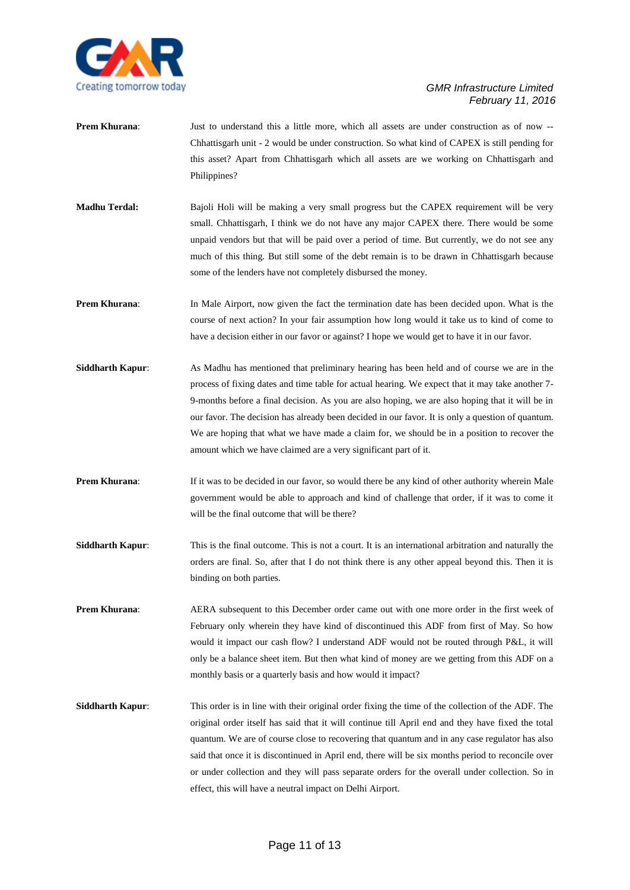

- **Prem Khurana:** Just to understand this a little more, which all assets are under construction as of now --Chhattisgarh unit - 2 would be under construction. So what kind of CAPEX is still pending for this asset? Apart from Chhattisgarh which all assets are we working on Chhattisgarh and Philippines?
- **Madhu Terdal:** Bajoli Holi will be making a very small progress but the CAPEX requirement will be very small. Chhattisgarh, I think we do not have any major CAPEX there. There would be some unpaid vendors but that will be paid over a period of time. But currently, we do not see any much of this thing. But still some of the debt remain is to be drawn in Chhattisgarh because some of the lenders have not completely disbursed the money.
- **Prem Khurana:** In Male Airport, now given the fact the termination date has been decided upon. What is the course of next action? In your fair assumption how long would it take us to kind of come to have a decision either in our favor or against? I hope we would get to have it in our favor.
- **Siddharth Kapur:** As Madhu has mentioned that preliminary hearing has been held and of course we are in the process of fixing dates and time table for actual hearing. We expect that it may take another 7- 9-months before a final decision. As you are also hoping, we are also hoping that it will be in our favor. The decision has already been decided in our favor. It is only a question of quantum. We are hoping that what we have made a claim for, we should be in a position to recover the amount which we have claimed are a very significant part of it.
- **Prem Khurana:** If it was to be decided in our favor, so would there be any kind of other authority wherein Male government would be able to approach and kind of challenge that order, if it was to come it will be the final outcome that will be there?
- **Siddharth Kapur:** This is the final outcome. This is not a court. It is an international arbitration and naturally the orders are final. So, after that I do not think there is any other appeal beyond this. Then it is binding on both parties.
- **Prem Khurana:** AERA subsequent to this December order came out with one more order in the first week of February only wherein they have kind of discontinued this ADF from first of May. So how would it impact our cash flow? I understand ADF would not be routed through P&L, it will only be a balance sheet item. But then what kind of money are we getting from this ADF on a monthly basis or a quarterly basis and how would it impact?
- **Siddharth Kapur**: This order is in line with their original order fixing the time of the collection of the ADF. The original order itself has said that it will continue till April end and they have fixed the total quantum. We are of course close to recovering that quantum and in any case regulator has also said that once it is discontinued in April end, there will be six months period to reconcile over or under collection and they will pass separate orders for the overall under collection. So in effect, this will have a neutral impact on Delhi Airport.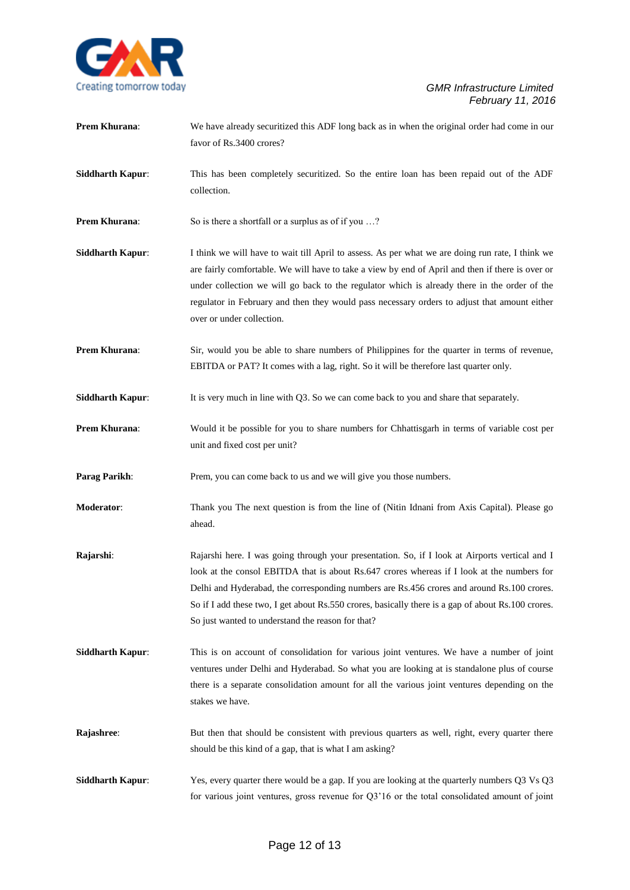

favor of Rs.3400 crores? **Siddharth Kapur**: This has been completely securitized. So the entire loan has been repaid out of the ADF collection. **Prem Khurana:** So is there a shortfall or a surplus as of if you ...? **Siddharth Kapur:** I think we will have to wait till April to assess. As per what we are doing run rate, I think we are fairly comfortable. We will have to take a view by end of April and then if there is over or under collection we will go back to the regulator which is already there in the order of the regulator in February and then they would pass necessary orders to adjust that amount either over or under collection. **Prem Khurana:** Sir, would you be able to share numbers of Philippines for the quarter in terms of revenue, EBITDA or PAT? It comes with a lag, right. So it will be therefore last quarter only. **Siddharth Kapur:** It is very much in line with Q3. So we can come back to you and share that separately. **Prem Khurana:** Would it be possible for you to share numbers for Chhattisgarh in terms of variable cost per unit and fixed cost per unit?

**Prem Khurana:** We have already securitized this ADF long back as in when the original order had come in our

**Parag Parikh:** Prem, you can come back to us and we will give you those numbers.

- **Moderator**: Thank you The next question is from the line of (Nitin Idnani from Axis Capital). Please go ahead.
- **Rajarshi**: Rajarshi here. I was going through your presentation. So, if I look at Airports vertical and I look at the consol EBITDA that is about Rs.647 crores whereas if I look at the numbers for Delhi and Hyderabad, the corresponding numbers are Rs.456 crores and around Rs.100 crores. So if I add these two, I get about Rs.550 crores, basically there is a gap of about Rs.100 crores. So just wanted to understand the reason for that?
- **Siddharth Kapur**: This is on account of consolidation for various joint ventures. We have a number of joint ventures under Delhi and Hyderabad. So what you are looking at is standalone plus of course there is a separate consolidation amount for all the various joint ventures depending on the stakes we have.
- **Rajashree:** But then that should be consistent with previous quarters as well, right, every quarter there should be this kind of a gap, that is what I am asking?
- **Siddharth Kapur:** Yes, every quarter there would be a gap. If you are looking at the quarterly numbers Q3 Vs Q3 for various joint ventures, gross revenue for Q3'16 or the total consolidated amount of joint